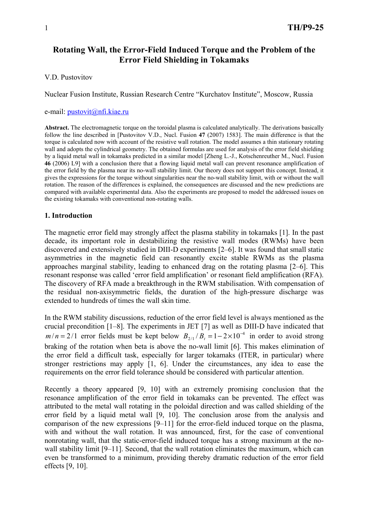# **Rotating Wall, the Error-Field Induced Torque and the Problem of the Error Field Shielding in Tokamaks**

V.D. Pustovitov

Nuclear Fusion Institute, Russian Research Centre "Kurchatov Institute", Moscow, Russia

### e-mail:  $pustovit@nfi.kiae.ru$

**Abstract.** The electromagnetic torque on the toroidal plasma is calculated analytically. The derivations basically follow the line described in [Pustovitov V.D., Nucl. Fusion **47** (2007) 1583]. The main difference is that the torque is calculated now with account of the resistive wall rotation. The model assumes a thin stationary rotating wall and adopts the cylindrical geometry. The obtained formulas are used for analysis of the error field shielding by a liquid metal wall in tokamaks predicted in a similar model [Zheng L.-J., Kotschenreuther M., Nucl. Fusion **46** (2006) L9] with a conclusion there that a flowing liquid metal wall can prevent resonance amplification of the error field by the plasma near its no-wall stability limit. Our theory does not support this concept. Instead, it gives the expressions for the torque without singularities near the no-wall stability limit, with or without the wall rotation. The reason of the differences is explained, the consequences are discussed and the new predictions are compared with available experimental data. Also the experiments are proposed to model the addressed issues on the existing tokamaks with conventional non-rotating walls.

# **1. Introduction**

The magnetic error field may strongly affect the plasma stability in tokamaks [1]. In the past decade, its important role in destabilizing the resistive wall modes (RWMs) have been discovered and extensively studied in DIII-D experiments [2–6]. It was found that small static asymmetries in the magnetic field can resonantly excite stable RWMs as the plasma approaches marginal stability, leading to enhanced drag on the rotating plasma [2–6]. This resonant response was called 'error field amplification' or resonant field amplification (RFA). The discovery of RFA made a breakthrough in the RWM stabilisation. With compensation of the residual non-axisymmetric fields, the duration of the high-pressure discharge was extended to hundreds of times the wall skin time.

In the RWM stability discussions, reduction of the error field level is always mentioned as the crucial precondition [1–8]. The experiments in JET [7] as well as DIII-D have indicated that  $m/n = 2/1$  error fields must be kept below  $B_{2/1}/B_t = 1 - 2 \times 10^{-4}$  in order to avoid strong braking of the rotation when beta is above the no-wall limit [6]. This makes elimination of the error field a difficult task, especially for larger tokamaks (ITER, in particular) where stronger restrictions may apply [1, 6]. Under the circumstances, any idea to ease the requirements on the error field tolerance should be considered with particular attention.

Recently a theory appeared [9, 10] with an extremely promising conclusion that the resonance amplification of the error field in tokamaks can be prevented. The effect was attributed to the metal wall rotating in the poloidal direction and was called shielding of the error field by a liquid metal wall [9, 10]. The conclusion arose from the analysis and comparison of the new expressions [9–11] for the error-field induced torque on the plasma, with and without the wall rotation. It was announced, first, for the case of conventional nonrotating wall, that the static-error-field induced torque has a strong maximum at the nowall stability limit [9–11]. Second, that the wall rotation eliminates the maximum, which can even be transformed to a minimum, providing thereby dramatic reduction of the error field effects [9, 10].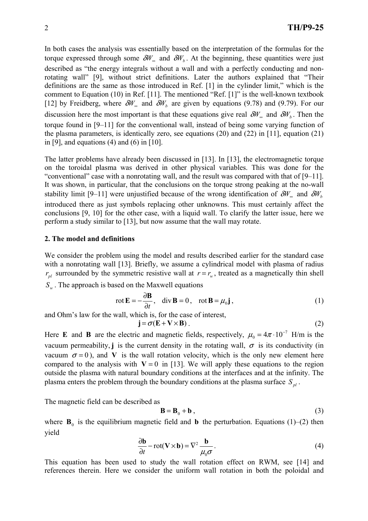In both cases the analysis was essentially based on the interpretation of the formulas for the torque expressed through some  $\delta W_{\alpha}$  and  $\delta W_{\beta}$ . At the beginning, these quantities were just described as "the energy integrals without a wall and with a perfectly conducting and nonrotating wall" [9], without strict definitions. Later the authors explained that "Their definitions are the same as those introduced in Ref. [1] in the cylinder limit," which is the comment to Equation (10) in Ref. [11]. The mentioned "Ref. [1]" is the well-known textbook [12] by Freidberg, where  $\delta W_{\infty}$  and  $\delta W_{h}$  are given by equations (9.78) and (9.79). For our discussion here the most important is that these equations give real  $\delta W_{\phi}$  and  $\delta W_{b}$ . Then the torque found in [9–11] for the conventional wall, instead of being some varying function of the plasma parameters, is identically zero, see equations (20) and (22) in [11], equation (21) in [9], and equations (4) and (6) in [10].

The latter problems have already been discussed in [13]. In [13], the electromagnetic torque on the toroidal plasma was derived in other physical variables. This was done for the "conventional" case with a nonrotating wall, and the result was compared with that of [9–11]. It was shown, in particular, that the conclusions on the torque strong peaking at the no-wall stability limit [9–11] were unjustified because of the wrong identification of  $\delta W_{\nu}$  and  $\delta W_{\nu}$ introduced there as just symbols replacing other unknowns. This must certainly affect the conclusions [9, 10] for the other case, with a liquid wall. To clarify the latter issue, here we perform a study similar to [13], but now assume that the wall may rotate.

### **2. The model and definitions**

We consider the problem using the model and results described earlier for the standard case with a nonrotating wall [13]. Briefly, we assume a cylindrical model with plasma of radius  $r_{nl}$  surrounded by the symmetric resistive wall at  $r = r_w$ , treated as a magnetically thin shell

*S<sub>w</sub>*. The approach is based on the Maxwell equations

$$
\text{rot}\,\mathbf{E} = -\frac{\partial \mathbf{B}}{\partial t}, \quad \text{div}\,\mathbf{B} = 0, \quad \text{rot}\,\mathbf{B} = \mu_0 \mathbf{j}, \tag{1}
$$

and Ohm's law for the wall, which is, for the case of interest,  $\mathbf{j} = \sigma(\mathbf{E} + \mathbf{V} \times \mathbf{B})$ .

$$
(2)
$$

Here **E** and **B** are the electric and magnetic fields, respectively,  $\mu_0 = 4\pi \cdot 10^{-7}$  H/m is the vacuum permeability, **j** is the current density in the rotating wall,  $\sigma$  is its conductivity (in vacuum  $\sigma = 0$ ), and **V** is the wall rotation velocity, which is the only new element here compared to the analysis with  $V = 0$  in [13]. We will apply these equations to the region outside the plasma with natural boundary conditions at the interfaces and at the infinity. The plasma enters the problem through the boundary conditions at the plasma surface  $S_{nl}$ .

The magnetic field can be described as

$$
\mathbf{B} = \mathbf{B}_0 + \mathbf{b} \tag{3}
$$

where  $\mathbf{B}_0$  is the equilibrium magnetic field and **b** the perturbation. Equations (1)–(2) then yield

$$
\frac{\partial \mathbf{b}}{\partial t} - \text{rot}(\mathbf{V} \times \mathbf{b}) = \nabla^2 \frac{\mathbf{b}}{\mu_0 \sigma}.
$$
 (4)

This equation has been used to study the wall rotation effect on RWM, see [14] and references therein. Here we consider the uniform wall rotation in both the poloidal and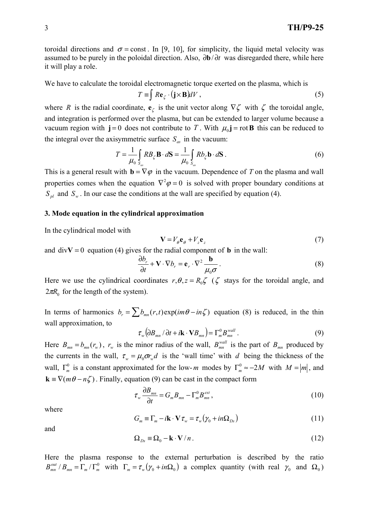toroidal directions and  $\sigma$  = const. In [9, 10], for simplicity, the liquid metal velocity was assumed to be purely in the poloidal direction. Also, ∂**b**/ ∂*t* was disregarded there, while here it will play a role.

We have to calculate the toroidal electromagnetic torque exerted on the plasma, which is

$$
T \equiv \int R \mathbf{e}_{\zeta} \cdot (\mathbf{j} \times \mathbf{B}) dV , \qquad (5)
$$

where *R* is the radial coordinate,  $e_\zeta$  is the unit vector along  $\nabla \zeta$  with  $\zeta$  the toroidal angle, and integration is performed over the plasma, but can be extended to larger volume because a vacuum region with  $\mathbf{j} = 0$  does not contribute to *T*. With  $\mu_0 \mathbf{j} = \text{rot } \mathbf{B}$  this can be reduced to the integral over the axisymmetric surface  $S_{as}$  in the vacuum:

$$
T = \frac{1}{\mu_0} \int_{S_{as}} R B_{\zeta} \mathbf{B} \cdot d\mathbf{S} = \frac{1}{\mu_0} \int_{S_{as}} R b_{\zeta} \mathbf{b} \cdot d\mathbf{S} \,. \tag{6}
$$

This is a general result with  $\mathbf{b} = \nabla \varphi$  in the vacuum. Dependence of *T* on the plasma and wall properties comes when the equation  $\nabla^2 \varphi = 0$  is solved with proper boundary conditions at  $S_{pl}$  and  $S_w$ . In our case the conditions at the wall are specified by equation (4).

### **3. Mode equation in the cylindrical approximation**

In the cylindrical model with

$$
\mathbf{V} = V_{\theta} \mathbf{e}_{\theta} + V_{z} \mathbf{e}_{z}
$$
 (7)

and  $divV = 0$  equation (4) gives for the radial component of **b** in the wall:

$$
\frac{\partial b_r}{\partial t} + \mathbf{V} \cdot \nabla b_r = \mathbf{e}_r \cdot \nabla^2 \frac{\mathbf{b}}{\mu_0 \sigma}.
$$
 (8)

Here we use the cylindrical coordinates  $r, \theta, z = R_0 \zeta$  ( $\zeta$  stays for the toroidal angle, and  $2\pi R_0$  for the length of the system).

In terms of harmonics  $b_r = \sum b_{mn}(r,t) \exp(im\theta - in\zeta)$  equation (8) is reduced, in the thin wall approximation, to

$$
\tau_{w} (\partial B_{mn} / \partial t + i \mathbf{k} \cdot \mathbf{V} B_{mn}) = \Gamma_{m}^{0} B_{mn}^{wall} . \qquad (9)
$$

Here  $B_{mn} = b_{mn}(r_w)$ ,  $r_w$  is the minor radius of the wall,  $B_{mn}^{wall}$  is the part of  $B_{mn}$  produced by the currents in the wall,  $\tau_w = \mu_0 \sigma r_w d$  is the 'wall time' with *d* being the thickness of the wall,  $\Gamma_m^0$  is a constant approximated for the low- *m* modes by  $\Gamma_m^0 \approx -2M$  with  $M = |m|$ , and  $\mathbf{k} = \nabla(m\theta - n\zeta)$ . Finally, equation (9) can be cast in the compact form

$$
\tau_{w} \frac{\partial B_{mn}}{\partial t} = G_{m} B_{mn} - \Gamma_{m}^{0} B_{mn}^{ext}, \qquad (10)
$$

where

$$
G_m \equiv \Gamma_m - i\mathbf{k} \cdot \mathbf{V} \tau_w = \tau_w \left( \gamma_0 + i n \Omega_{Ds} \right) \tag{11}
$$

and

$$
\Omega_{Ds} \equiv \Omega_0 - \mathbf{k} \cdot \mathbf{V}/n \,. \tag{12}
$$

Here the plasma response to the external perturbation is described by the ratio  $B_{mn}^{out}/B_{mn} = \Gamma_m/\Gamma_m^0$  with  $\Gamma_m = \tau_w(\gamma_0 + in\Omega_0)$  a complex quantity (with real  $\gamma_0$  and  $\Omega_0$ )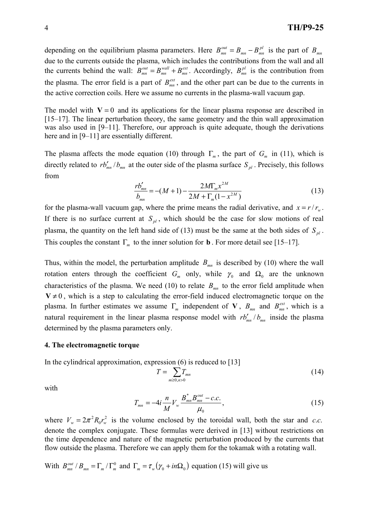depending on the equilibrium plasma parameters. Here  $B_{mn}^{out} = B_{mn} - B_{mn}^{pl}$  is the part of  $B_{mn}$ due to the currents outside the plasma, which includes the contributions from the wall and all the currents behind the wall:  $B_{mn}^{out} = B_{mn}^{wall} + B_{mn}^{ext}$ *wall*  $B_{mn}^{out} = B_{mn}^{wall} + B_{mn}^{ext}$ . Accordingly,  $B_{mn}^{pl}$  is the contribution from the plasma. The error field is a part of  $B_{mn}^{ext}$ , and the other part can be due to the currents in the active correction coils. Here we assume no currents in the plasma-wall vacuum gap.

The model with  $V = 0$  and its applications for the linear plasma response are described in [15–17]. The linear perturbation theory, the same geometry and the thin wall approximation was also used in [9–11]. Therefore, our approach is quite adequate, though the derivations here and in [9–11] are essentially different.

The plasma affects the mode equation (10) through  $\Gamma_m$ , the part of  $G_m$  in (11), which is directly related to  $rb'_{mn}/b_{mn}$  at the outer side of the plasma surface  $S_{nl}$ . Precisely, this follows from

$$
\frac{rb'_{mn}}{b_{mn}} = -(M+1) - \frac{2M\Gamma_m x^{2M}}{2M + \Gamma_m(1 - x^{2M})}
$$
(13)

for the plasma-wall vacuum gap, where the prime means the radial derivative, and  $x = r/r_{w}$ . If there is no surface current at  $S_{pl}$ , which should be the case for slow motions of real plasma, the quantity on the left hand side of (13) must be the same at the both sides of  $S_{nl}$ . This couples the constant  $\Gamma_m$  to the inner solution for **b**. For more detail see [15–17].

Thus, within the model, the perturbation amplitude  $B_{mn}$  is described by (10) where the wall rotation enters through the coefficient  $G_m$  only, while  $\gamma_0$  and  $\Omega_0$  are the unknown characteristics of the plasma. We need (10) to relate  $B_{mn}$  to the error field amplitude when  $V \neq 0$ , which is a step to calculating the error-field induced electromagnetic torque on the plasma. In further estimates we assume  $\Gamma_m$  independent of **V**,  $B_{mn}$  and  $B_{mn}^{ext}$ , which is a natural requirement in the linear plasma response model with  $rb'_{mn}/b_{mn}$  inside the plasma determined by the plasma parameters only.

### **4. The electromagnetic torque**

In the cylindrical approximation, expression (6) is reduced to [13]

$$
T = \sum_{m\geq 0, n>0} T_{mn} \tag{14}
$$

with

$$
T_{mn} = -4i \frac{n}{M} V_w \frac{B_{mn}^{*}}{L} B_{mn}^{out} - c.c. \tag{15}
$$

where  $V_w = 2\pi^2 R_0 r_w^2$  is the volume enclosed by the toroidal wall, both the star and *c.c.* denote the complex conjugate. These formulas were derived in [13] without restrictions on the time dependence and nature of the magnetic perturbation produced by the currents that flow outside the plasma. Therefore we can apply them for the tokamak with a rotating wall.

With  $B_{mn}^{out}/B_{mn} = \Gamma_m/\Gamma_m^0$  and  $\Gamma_m = \tau_w(\gamma_0 + in\Omega_0)$  equation (15) will give us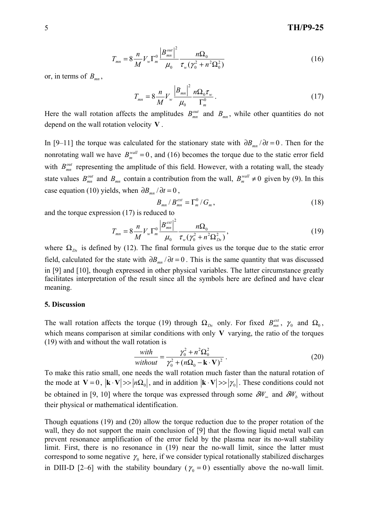# 5 **TH/P9-25**

$$
T_{mn} = 8 \frac{n}{M} V_w \Gamma_m^0 \frac{\left| B_{mn}^{out} \right|^2}{\mu_0} \frac{n \Omega_0}{\tau_w (\gamma_0^2 + n^2 \Omega_0^2)}
$$
(16)

or, in terms of  $B_{mn}$ ,

$$
T_{mn} = 8 \frac{n}{M} V_w \frac{|B_{mn}|^2}{\mu_0} \frac{n \Omega_0 \tau_w}{\Gamma_m^0}.
$$
 (17)

Here the wall rotation affects the amplitudes  $B_{mn}^{out}$  and  $B_{mn}$ , while other quantities do not depend on the wall rotation velocity **V** .

In [9–11] the torque was calculated for the stationary state with  $\partial B_{mn}/\partial t = 0$ . Then for the nonrotating wall we have  $B_m^{wall} = 0$ , and (16) becomes the torque due to the static error field with  $B_{mn}^{out}$  representing the amplitude of this field. However, with a rotating wall, the steady state values  $B_{mn}^{out}$  and  $B_{mn}$  contain a contribution from the wall,  $B_m^{wall} \neq 0$  given by (9). In this case equation (10) yields, when  $\partial B_{mn}/\partial t = 0$ ,

$$
B_{mn}/B_{mn}^{ext} = \Gamma_m^0/G_m, \qquad (18)
$$

and the torque expression (17) is reduced to

$$
T_{mn} = 8 \frac{n}{M} V_w \Gamma_m^0 \frac{\left| B_{mn}^{ext} \right|^2}{\mu_0} \frac{n \Omega_0}{\tau_w (\gamma_0^2 + n^2 \Omega_{Ds}^2)},
$$
\n(19)

where  $\Omega_{Ds}$  is defined by (12). The final formula gives us the torque due to the static error field, calculated for the state with  $\partial B_{mn}/\partial t = 0$ . This is the same quantity that was discussed in [9] and [10], though expressed in other physical variables. The latter circumstance greatly facilitates interpretation of the result since all the symbols here are defined and have clear meaning.

### **5. Discussion**

The wall rotation affects the torque (19) through  $\Omega_{Ds}$  only. For fixed  $B_{mn}^{ext}$ ,  $\gamma_0$  and  $\Omega_0$ , which means comparison at similar conditions with only **V** varying, the ratio of the torques (19) with and without the wall rotation is

$$
\frac{with}{without} = \frac{\gamma_0^2 + n^2 \Omega_0^2}{\gamma_0^2 + (n\Omega_0 - \mathbf{k} \cdot \mathbf{V})^2} \,. \tag{20}
$$

To make this ratio small, one needs the wall rotation much faster than the natural rotation of the mode at  $V = 0$ ,  $|\mathbf{k} \cdot \mathbf{V}| >> |n\Omega_0|$ , and in addition  $|\mathbf{k} \cdot \mathbf{V}| >> |\gamma_0|$ . These conditions could not be obtained in [9, 10] where the torque was expressed through some  $\delta W_{\infty}$  and  $\delta W_{b}$  without their physical or mathematical identification.

Though equations (19) and (20) allow the torque reduction due to the proper rotation of the wall, they do not support the main conclusion of [9] that the flowing liquid metal wall can prevent resonance amplification of the error field by the plasma near its no-wall stability limit. First, there is no resonance in (19) near the no-wall limit, since the latter must correspond to some negative  $\gamma_0$  here, if we consider typical rotationally stabilized discharges in DIII-D [2–6] with the stability boundary ( $\gamma_0 = 0$ ) essentially above the no-wall limit.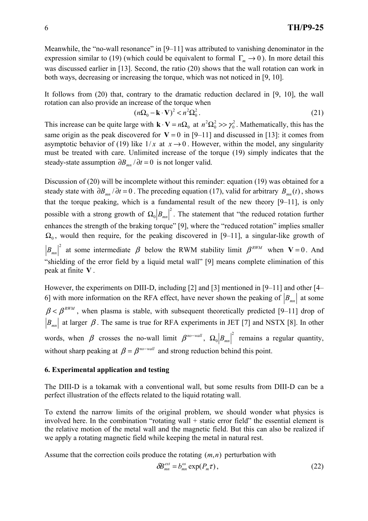Meanwhile, the "no-wall resonance" in [9–11] was attributed to vanishing denominator in the expression similar to (19) (which could be equivalent to formal  $\Gamma_m \to 0$ ). In more detail this was discussed earlier in [13]. Second, the ratio (20) shows that the wall rotation can work in both ways, decreasing or increasing the torque, which was not noticed in [9, 10].

It follows from (20) that, contrary to the dramatic reduction declared in [9, 10], the wall rotation can also provide an increase of the torque when

$$
(n\Omega_0 - \mathbf{k} \cdot \mathbf{V})^2 < n^2 \Omega_0^2. \tag{21}
$$

This increase can be quite large with  $\mathbf{k} \cdot \mathbf{V} = n\Omega_0$  at  $n^2 \Omega_0^2 >> \gamma_0^2$ 2 0  $n^2\Omega_0^2 >> \gamma_0^2$ . Mathematically, this has the same origin as the peak discovered for  $V = 0$  in [9–11] and discussed in [13]: it comes from asymptotic behavior of (19) like  $1/x$  at  $x \to 0$ . However, within the model, any singularity must be treated with care. Unlimited increase of the torque (19) simply indicates that the steady-state assumption  $\partial B_{mn}/\partial t = 0$  is not longer valid.

Discussion of (20) will be incomplete without this reminder: equation (19) was obtained for a steady state with  $\partial B_{mn}/\partial t = 0$ . The preceding equation (17), valid for arbitrary  $B_{mn}(t)$ , shows that the torque peaking, which is a fundamental result of the new theory [9–11], is only possible with a strong growth of  $\Omega_0 |B_{mn}|^2$ . The statement that "the reduced rotation further enhances the strength of the braking torque" [9], where the "reduced rotation" implies smaller  $\Omega_0$ , would then require, for the peaking discovered in [9–11], a singular-like growth of  $B_{mn}$ <sup>2</sup> at some intermediate  $\beta$  below the RWM stability limit  $\beta^{RWM}$  when **V** = 0. And "shielding of the error field by a liquid metal wall" [9] means complete elimination of this peak at finite **V** .

However, the experiments on DIII-D, including [2] and [3] mentioned in [9–11] and other [4– 6] with more information on the RFA effect, have never shown the peaking of  $|B_{mn}|$  at some  $\beta < \beta^{RWM}$ , when plasma is stable, with subsequent theoretically predicted [9–11] drop of  $B_{mn}$  at larger  $\beta$ . The same is true for RFA experiments in JET [7] and NSTX [8]. In other words, when  $\beta$  crosses the no-wall limit  $\beta^{no-wall}$ ,  $\Omega_0 |B_{mn}|^2$  remains a regular quantity, without sharp peaking at  $\beta = \beta^{no-wall}$  and strong reduction behind this point.

# **6. Experimental application and testing**

The DIII-D is a tokamak with a conventional wall, but some results from DIII-D can be a perfect illustration of the effects related to the liquid rotating wall.

To extend the narrow limits of the original problem, we should wonder what physics is involved here. In the combination "rotating wall + static error field" the essential element is the relative motion of the metal wall and the magnetic field. But this can also be realized if we apply a rotating magnetic field while keeping the metal in natural rest.

Assume that the correction coils produce the rotating  $(m, n)$  perturbation with

$$
\delta B_{mn}^{\text{ext}} = b_{mn}^{\text{os}} \exp(P_m \tau), \qquad (22)
$$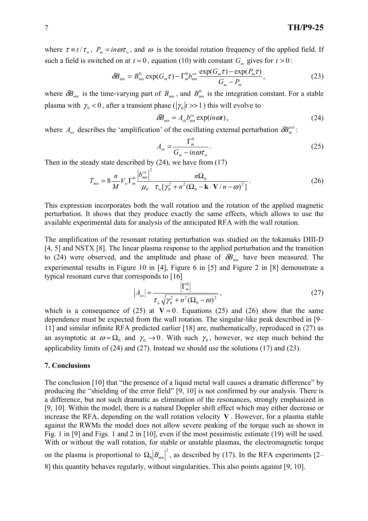where  $\tau = t / \tau_w$ ,  $P_m = in \omega \tau_w$ , and  $\omega$  is the toroidal rotation frequency of the applied field. If such a field is switched on at  $t = 0$ , equation (10) with constant  $G_m$  gives for  $t > 0$ :

$$
\delta B_{mn} = B_{mn}^0 \exp(G_m \tau) - \Gamma_m^0 b_{mn}^{os} \frac{\exp(G_m \tau) - \exp(P_m \tau)}{G_m - P_m},
$$
\n(23)

where  $\delta B_{mn}$  is the time-varying part of  $B_{mn}$ , and  $B_{mn}^0$  is the integration constant. For a stable plasma with  $\gamma_0 < 0$ , after a transient phase ( $|\gamma_0|$ *t* >> 1) this will evolve to

$$
\delta B_{mn} = A_{os} b_{mn}^{os} \exp(in\omega t), \qquad (24)
$$

where  $A_{os}$  describes the 'amplification' of the oscillating external perturbation  $\delta B_{m}^{ext}$ :

$$
A_{os} = \frac{\Gamma_m^0}{G_m - in \omega \tau_w}.
$$
 (25)

Then in the steady state described by (24), we have from (17)

$$
T_{mn} = 8 \frac{n}{M} V_w \Gamma_m^0 \frac{\left|b_{mn}^{os}\right|^2}{\mu_0} \frac{n\Omega_0}{\tau_w [\gamma_0^2 + n^2 (\Omega_0 - \mathbf{k} \cdot \mathbf{V}/n - \omega)^2]}.
$$
 (26)

This expression incorporates both the wall rotation and the rotation of the applied magnetic perturbation. It shows that they produce exactly the same effects, which allows to use the available experimental data for analysis of the anticipated RFA with the wall rotation.

The amplification of the resonant rotating perturbation was studied on the tokamaks DIII-D [4, 5] and NSTX [8]. The linear plasma response to the applied perturbation and the transition to (24) were observed, and the amplitude and phase of  $\delta B_{mn}$  have been measured. The experimental results in Figure 10 in [4], Figure 6 in [5] and Figure 2 in [8] demonstrate a typical resonant curve that corresponds to [16]

$$
|A_{os}| = \frac{\left|\Gamma_m^0\right|}{\tau_w \sqrt{\gamma_0^2 + n^2 (\Omega_0 - \omega)^2}},
$$
\n(27)

which is a consequence of (25) at  $V = 0$ . Equations (25) and (26) show that the same dependence must be expected from the wall rotation. The singular-like peak described in [9– 11] and similar infinite RFA predicted earlier [18] are, mathematically, reproduced in (27) as an asymptotic at  $\omega = \Omega_0$  and  $\gamma_0 \rightarrow 0$ . With such  $\gamma_0$ , however, we step much behind the applicability limits of (24) and (27). Instead we should use the solutions (17) and (23).

### **7. Conclusions**

The conclusion [10] that "the presence of a liquid metal wall causes a dramatic difference" by producing the "shielding of the error field" [9, 10] is not confirmed by our analysis. There is a difference, but not such dramatic as elimination of the resonances, strongly emphasized in [9, 10]. Within the model, there is a natural Doppler shift effect which may either decrease or increase the RFA, depending on the wall rotation velocity **V** . However, for a plasma stable against the RWMs the model does not allow severe peaking of the torque such as shown in Fig. 1 in [9] and Figs. 1 and 2 in [10], even if the most pessimistic estimate (19) will be used. With or without the wall rotation, for stable or unstable plasmas, the electromagnetic torque on the plasma is proportional to  $\Omega_0 |B_{mn}|^2$ , as described by (17). In the RFA experiments [2– 8] this quantity behaves regularly, without singularities. This also points against [9, 10].